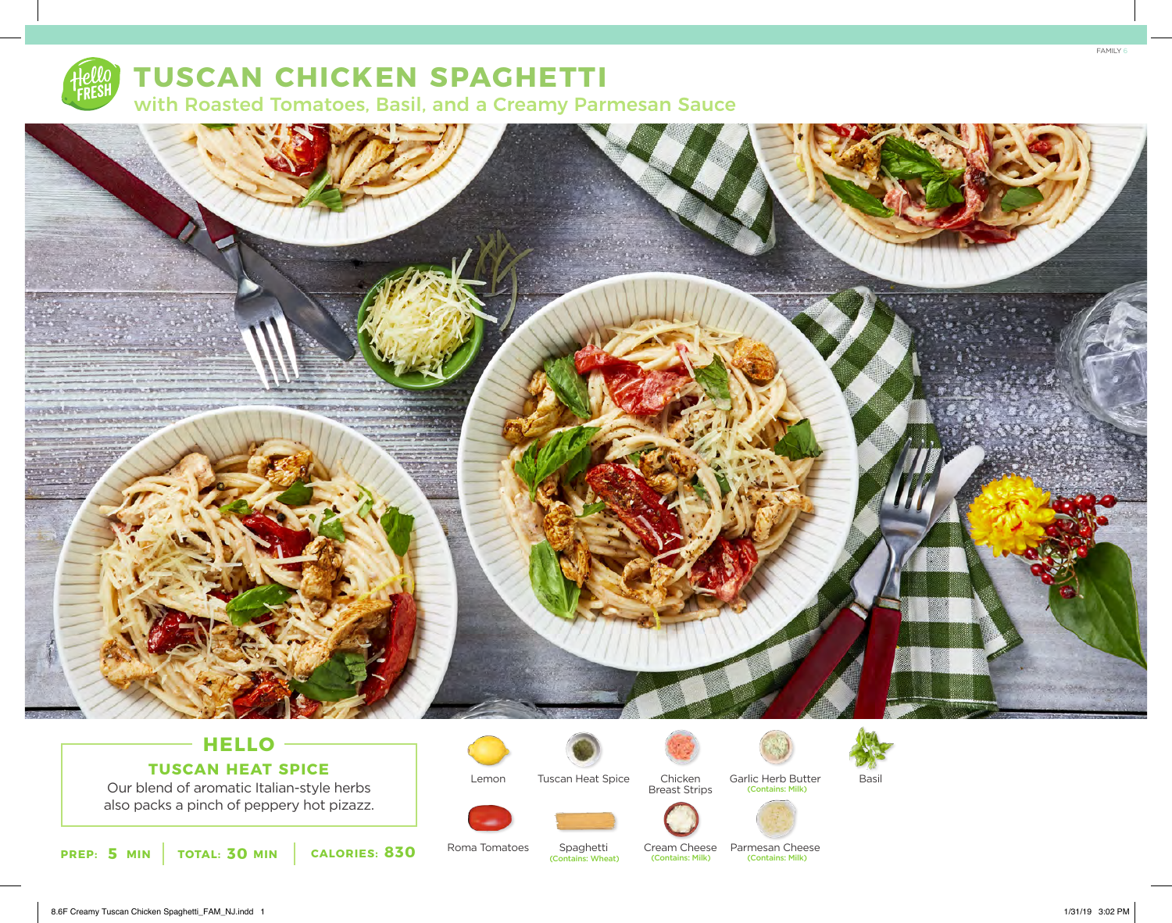

# **TUSCAN CHICKEN SPAGHETTI**

with Roasted Tomatoes, Basil, and a Creamy Parmesan Sauce



# **HELLO TUSCAN HEAT SPICE**

Our blend of aromatic Italian-style herbs also packs a pinch of peppery hot pizazz.



Tuscan Heat Spice



Chicken Garlic Herb Butter Basil (Contains: Milk)













Cream Cheese Parmesan Cheese



Roma Tomatoes

Lemon

Spaghetti<br>(Contains: Wheat)

8.6F Creamy Tuscan Chicken Spaghetti\_FAM\_NJ.indd 1 1/31/19 3:02 PM